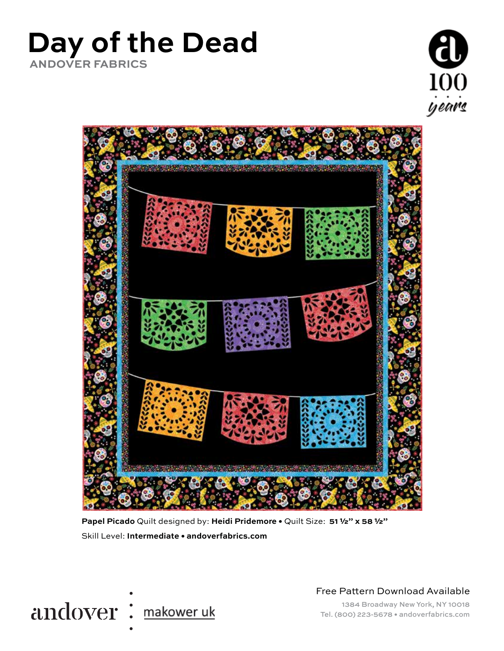## **Day of the Dead ANDOVER FABRICS**





**Papel Picado** Quilt designed by: **Heidi Pridemore •** Quilt Size: **51 ½" x 58 ½"** Skill Level: **Intermediate • andoverfabrics.com**



Free Pattern Download Available

1384 Broadway New York, NY 10018 Tel. (800) 223-5678 • andoverfabrics.com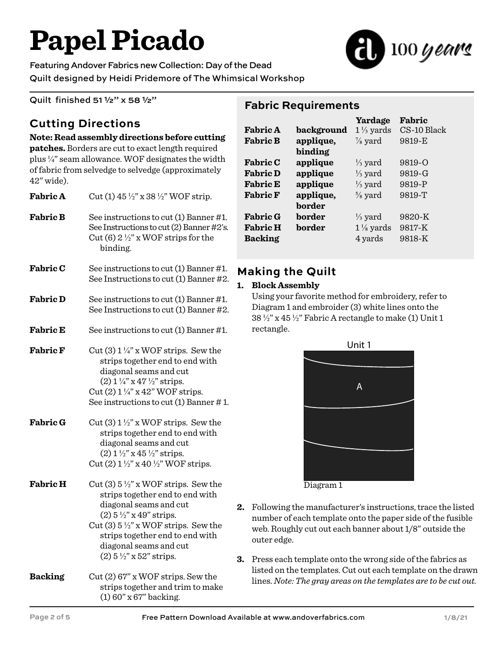# **Papel Picado**

 $100$  years

Featuring Andover Fabrics new Collection: Day of the Dead Quilt designed by Heidi Pridemore of The Whimsical Workshop

Quilt finished 51 ½" x 58 ½"

### **Cutting Directions**

## **Note: Read assembly directions before cutting**

**patches.** Borders are cut to exact length required plus ¼" seam allowance. WOF designates the width of fabric from selvedge to selvedge (approximately 42" wide).

| <b>Fabric A</b> | Cut (1) $45\frac{1}{2}$ " x 38 $\frac{1}{2}$ " WOF strip.                                                                                                                                                                                                                                               |  |  |
|-----------------|---------------------------------------------------------------------------------------------------------------------------------------------------------------------------------------------------------------------------------------------------------------------------------------------------------|--|--|
| <b>Fabric B</b> | See instructions to cut (1) Banner #1.<br>See Instructions to cut (2) Banner #2's.<br>Cut (6) $2\frac{1}{2}$ " x WOF strips for the<br>binding.                                                                                                                                                         |  |  |
| <b>Fabric C</b> | See instructions to cut (1) Banner #1.<br>See Instructions to cut (1) Banner #2.                                                                                                                                                                                                                        |  |  |
| <b>Fabric D</b> | See instructions to cut (1) Banner #1.<br>See Instructions to cut (1) Banner #2.                                                                                                                                                                                                                        |  |  |
| <b>Fabric E</b> | See instructions to cut (1) Banner #1.                                                                                                                                                                                                                                                                  |  |  |
| <b>Fabric F</b> | Cut (3) $1\frac{1}{4}$ " x WOF strips. Sew the<br>strips together end to end with<br>diagonal seams and cut<br>(2) $1\frac{1}{4}$ " x $47\frac{1}{2}$ " strips.<br>Cut (2) $1\frac{1}{4}$ " x 42" WOF strips.<br>See instructions to cut $(1)$ Banner #1.                                               |  |  |
| <b>Fabric G</b> | Cut (3) $1\frac{1}{2}$ " x WOF strips. Sew the<br>strips together end to end with<br>diagonal seams and cut<br>$(2)$ 1 $\frac{1}{2}$ " x 45 $\frac{1}{2}$ " strips.<br>Cut (2) $1\frac{1}{2}$ " x 40 $\frac{1}{2}$ " WOF strips.                                                                        |  |  |
| <b>Fabric H</b> | Cut (3) $5\frac{1}{2}$ " x WOF strips. Sew the<br>strips together end to end with<br>diagonal seams and cut<br>$(2) 5\frac{1}{2}$ " x 49" strips.<br>Cut (3) $5\frac{1}{2}$ " x WOF strips. Sew the<br>strips together end to end with<br>diagonal seams and cut<br>$(2) 5 \frac{1}{2}$ " x 52" strips. |  |  |
| <b>Backing</b>  | Cut(2) 67" x WOF strips. Sew the<br>strips together and trim to make                                                                                                                                                                                                                                    |  |  |

(1) 60" x 67" backing.

#### **Fabric Requirements**

|                 |            | Yardage              | Fabric      |
|-----------------|------------|----------------------|-------------|
| <b>Fabric A</b> | background | $1\frac{1}{3}$ yards | CS-10 Black |
| <b>Fabric B</b> | applique,  | $\frac{7}{8}$ yard   | 9819-E      |
|                 | binding    |                      |             |
| <b>Fabric C</b> | applique   | $\frac{1}{3}$ yard   | 9819-Q      |
| <b>Fabric D</b> | applique   | $\frac{1}{3}$ yard   | 9819-G      |
| <b>Fabric E</b> | applique   | $\frac{1}{3}$ yard   | 9819-P      |
| <b>Fabric F</b> | applique,  | $\frac{5}{8}$ yard   | 9819-T      |
|                 | border     |                      |             |
| <b>Fabric G</b> | border     | $\frac{1}{3}$ yard   | 9820-K      |
| <b>Fabric H</b> | border     | $1\frac{1}{8}$ yards | 9817-K      |
| <b>Backing</b>  |            | 4 yards              | 9818-K      |
|                 |            |                      |             |

#### **Making the Quilt**

#### **1. Block Assembly**

Using your favorite method for embroidery, refer to Diagram 1 and embroider (3) white lines onto the  $38\frac{1}{2}$ " x 45 $\frac{1}{2}$ " Fabric A rectangle to make (1) Unit 1 rectangle.



Diagram 1

- **2.** Following the manufacturer's instructions, trace the listed number of each template onto the paper side of the fusible web. Roughly cut out each banner about 1/8" outside the outer edge.
- **3.** Press each template onto the wrong side of the fabrics as listed on the templates. Cut out each template on the drawn lines. *Note: The gray areas on the templates are to be cut out.*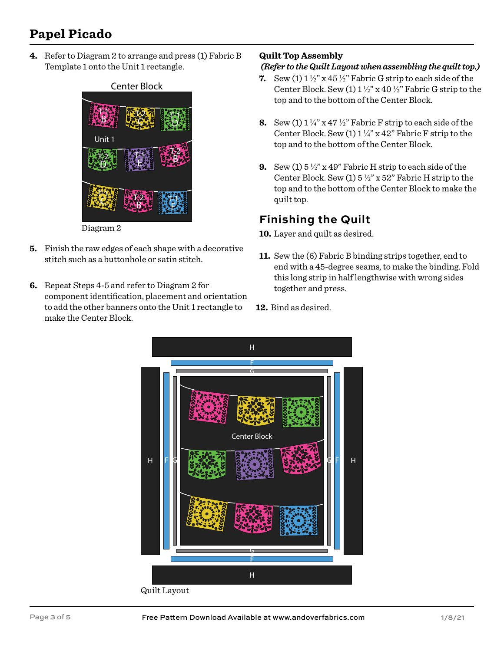## **Papel Picado**

**4.** Refer to Diagram 2 to arrange and press (1) Fabric B Template 1 onto the Unit 1 rectangle.



- **5.** Finish the raw edges of each shape with a decorative stitch such as a buttonhole or satin stitch.
- **6.** Repeat Steps 4-5 and refer to Diagram 2 for component identification, placement and orientation to add the other banners onto the Unit 1 rectangle to make the Center Block.

#### **Quilt Top Assembly**

#### *(Refer to the Quilt Layout when assembling the quilt top.)*

- **7.** Sew (1)  $1\frac{1}{2}$  x 45  $\frac{1}{2}$  Fabric G strip to each side of the Center Block. Sew (1)  $1\frac{1}{2}$ " x 40  $\frac{1}{2}$ " Fabric G strip to the top and to the bottom of the Center Block.
- **8.** Sew (1)  $1\frac{1}{4}$  x 47  $\frac{1}{2}$  Fabric F strip to each side of the Center Block. Sew  $(1) 1 \frac{1}{4}$ " x 42" Fabric F strip to the top and to the bottom of the Center Block.
- **9.** Sew (1) 5 ½" x 49" Fabric H strip to each side of the Center Block. Sew (1)  $5\frac{1}{2}$ " x 52" Fabric H strip to the top and to the bottom of the Center Block to make the quilt top.

#### **Finishing the Quilt**

- Layer and quilt as desired. **10.**
- **11.** Sew the (6) Fabric B binding strips together, end to end with a 45-degree seams, to make the binding. Fold this long strip in half lengthwise with wrong sides together and press.
- **12.** Bind as desired.

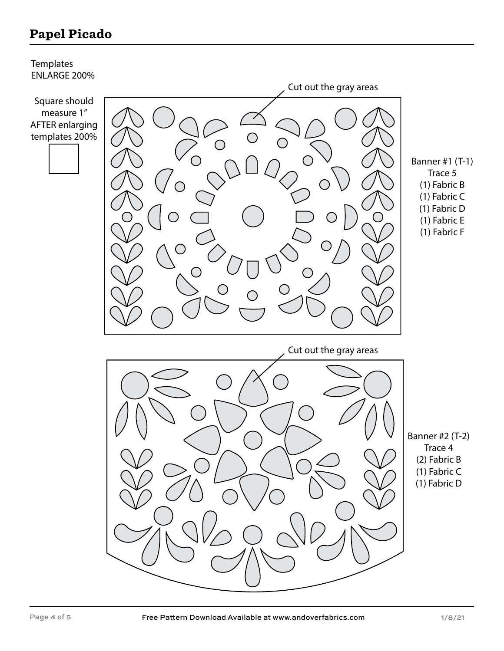## **Papel Picado**